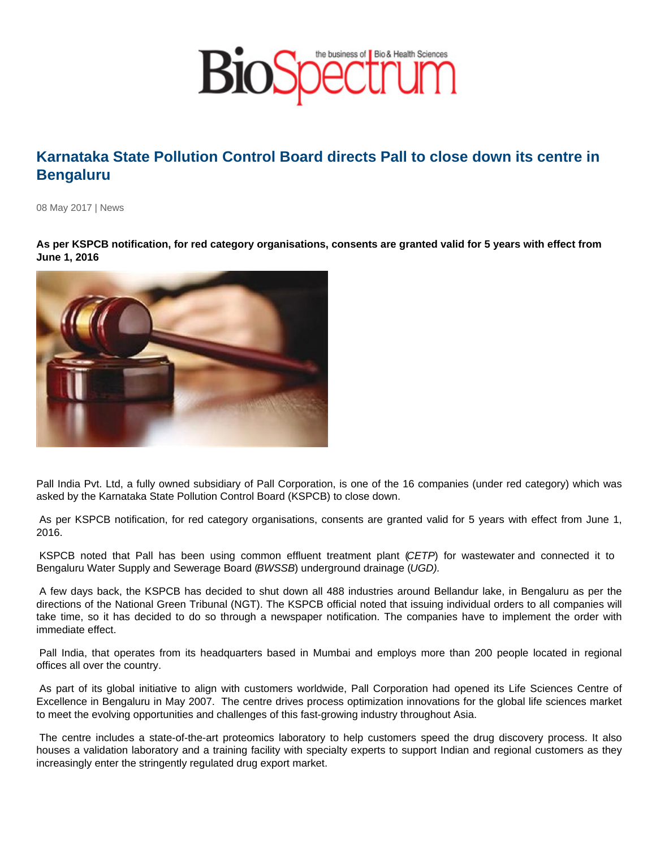## Karnataka State Pollution Control Board directs Pall to close down its centre in Bengaluru

08 May 2017 | News

As per KSPCB notification, for red category organisations, consents are granted valid for 5 years with effect from June 1, 2016

Pall India Pvt. Ltd, a fully owned subsidiary of Pall Corporation, is one of the 16 companies (under red category) which was asked by the Karnataka State Pollution Control Board (KSPCB) to close down.

 As per KSPCB notification, for red category organisations, consents are granted valid for 5 years with effect from June 1, 2016.

 KSPCB noted that Pall has been using common effluent treatment plant (CETP) for wastewater and connected it to Bengaluru Water Supply and Sewerage Board (BWSSB) underground drainage (UGD).

 A few days back, the KSPCB has decided to shut down all 488 industries around Bellandur lake, in Bengaluru as per the directions of the National Green Tribunal (NGT). The KSPCB official noted that issuing individual orders to all companies will take time, so it has decided to do so through a newspaper notification. The companies have to implement the order with immediate effect.

 Pall India, that operates from its headquarters based in Mumbai and employs more than 200 people located in regional offices all over the country.

 As part of its global initiative to align with customers worldwide, Pall Corporation had opened its Life Sciences Centre of Excellence in Bengaluru in May 2007. The centre drives process optimization innovations for the global life sciences market to meet the evolving opportunities and challenges of this fast-growing industry throughout Asia.

 The centre includes a state-of-the-art proteomics laboratory to help customers speed the drug discovery process. It also houses a validation laboratory and a training facility with specialty experts to support Indian and regional customers as they increasingly enter the stringently regulated drug export market.